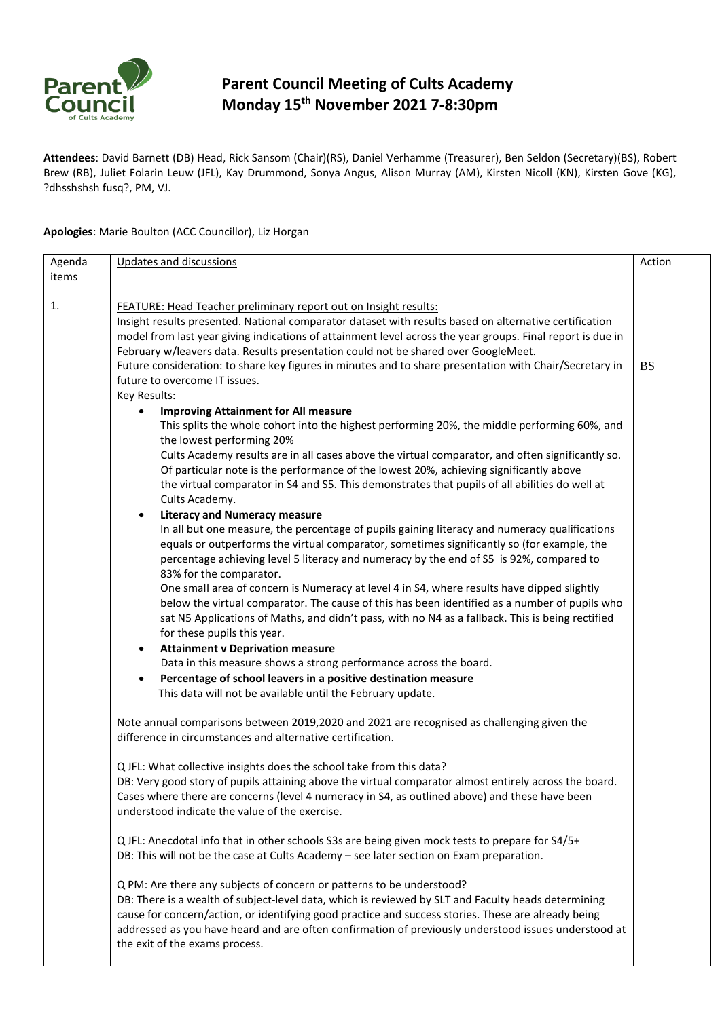

## **Parent Council Meeting of Cults Academy Monday 15th November 2021 7-8:30pm**

**Attendees**: David Barnett (DB) Head, Rick Sansom (Chair)(RS), Daniel Verhamme (Treasurer), Ben Seldon (Secretary)(BS), Robert Brew (RB), Juliet Folarin Leuw (JFL), Kay Drummond, Sonya Angus, Alison Murray (AM), Kirsten Nicoll (KN), Kirsten Gove (KG), ?dhsshshsh fusq?, PM, VJ.

## **Apologies**: Marie Boulton (ACC Councillor), Liz Horgan

| Agenda | <b>Updates and discussions</b>                                                                                                                                                                                                                                                                                                                                                                                                                                                                                                                                                                                                                                                                                                                                                                                                                                                                                                                                                                                                                                                                                                                                                                                                                                                                                                                                                                                                                                                                                                                                                                                                                                                                                                                                                                                                                                                                                                                                                                                                                                                                                                                                                                                                                                                                                                                                                                                                                                                                                                                                                                                              | Action    |
|--------|-----------------------------------------------------------------------------------------------------------------------------------------------------------------------------------------------------------------------------------------------------------------------------------------------------------------------------------------------------------------------------------------------------------------------------------------------------------------------------------------------------------------------------------------------------------------------------------------------------------------------------------------------------------------------------------------------------------------------------------------------------------------------------------------------------------------------------------------------------------------------------------------------------------------------------------------------------------------------------------------------------------------------------------------------------------------------------------------------------------------------------------------------------------------------------------------------------------------------------------------------------------------------------------------------------------------------------------------------------------------------------------------------------------------------------------------------------------------------------------------------------------------------------------------------------------------------------------------------------------------------------------------------------------------------------------------------------------------------------------------------------------------------------------------------------------------------------------------------------------------------------------------------------------------------------------------------------------------------------------------------------------------------------------------------------------------------------------------------------------------------------------------------------------------------------------------------------------------------------------------------------------------------------------------------------------------------------------------------------------------------------------------------------------------------------------------------------------------------------------------------------------------------------------------------------------------------------------------------------------------------------|-----------|
| items  |                                                                                                                                                                                                                                                                                                                                                                                                                                                                                                                                                                                                                                                                                                                                                                                                                                                                                                                                                                                                                                                                                                                                                                                                                                                                                                                                                                                                                                                                                                                                                                                                                                                                                                                                                                                                                                                                                                                                                                                                                                                                                                                                                                                                                                                                                                                                                                                                                                                                                                                                                                                                                             |           |
| 1.     | FEATURE: Head Teacher preliminary report out on Insight results:<br>Insight results presented. National comparator dataset with results based on alternative certification<br>model from last year giving indications of attainment level across the year groups. Final report is due in<br>February w/leavers data. Results presentation could not be shared over GoogleMeet.<br>Future consideration: to share key figures in minutes and to share presentation with Chair/Secretary in<br>future to overcome IT issues.<br>Key Results:<br><b>Improving Attainment for All measure</b><br>٠<br>This splits the whole cohort into the highest performing 20%, the middle performing 60%, and<br>the lowest performing 20%<br>Cults Academy results are in all cases above the virtual comparator, and often significantly so.<br>Of particular note is the performance of the lowest 20%, achieving significantly above<br>the virtual comparator in S4 and S5. This demonstrates that pupils of all abilities do well at<br>Cults Academy.<br><b>Literacy and Numeracy measure</b><br>In all but one measure, the percentage of pupils gaining literacy and numeracy qualifications<br>equals or outperforms the virtual comparator, sometimes significantly so (for example, the<br>percentage achieving level 5 literacy and numeracy by the end of S5 is 92%, compared to<br>83% for the comparator.<br>One small area of concern is Numeracy at level 4 in S4, where results have dipped slightly<br>below the virtual comparator. The cause of this has been identified as a number of pupils who<br>sat N5 Applications of Maths, and didn't pass, with no N4 as a fallback. This is being rectified<br>for these pupils this year.<br><b>Attainment v Deprivation measure</b><br>$\bullet$<br>Data in this measure shows a strong performance across the board.<br>Percentage of school leavers in a positive destination measure<br>$\bullet$<br>This data will not be available until the February update.<br>Note annual comparisons between 2019,2020 and 2021 are recognised as challenging given the<br>difference in circumstances and alternative certification.<br>Q JFL: What collective insights does the school take from this data?<br>DB: Very good story of pupils attaining above the virtual comparator almost entirely across the board.<br>Cases where there are concerns (level 4 numeracy in S4, as outlined above) and these have been<br>understood indicate the value of the exercise.<br>Q JFL: Anecdotal info that in other schools S3s are being given mock tests to prepare for S4/5+ | <b>BS</b> |
|        | DB: This will not be the case at Cults Academy - see later section on Exam preparation.                                                                                                                                                                                                                                                                                                                                                                                                                                                                                                                                                                                                                                                                                                                                                                                                                                                                                                                                                                                                                                                                                                                                                                                                                                                                                                                                                                                                                                                                                                                                                                                                                                                                                                                                                                                                                                                                                                                                                                                                                                                                                                                                                                                                                                                                                                                                                                                                                                                                                                                                     |           |
|        | Q PM: Are there any subjects of concern or patterns to be understood?<br>DB: There is a wealth of subject-level data, which is reviewed by SLT and Faculty heads determining<br>cause for concern/action, or identifying good practice and success stories. These are already being<br>addressed as you have heard and are often confirmation of previously understood issues understood at<br>the exit of the exams process.                                                                                                                                                                                                                                                                                                                                                                                                                                                                                                                                                                                                                                                                                                                                                                                                                                                                                                                                                                                                                                                                                                                                                                                                                                                                                                                                                                                                                                                                                                                                                                                                                                                                                                                                                                                                                                                                                                                                                                                                                                                                                                                                                                                               |           |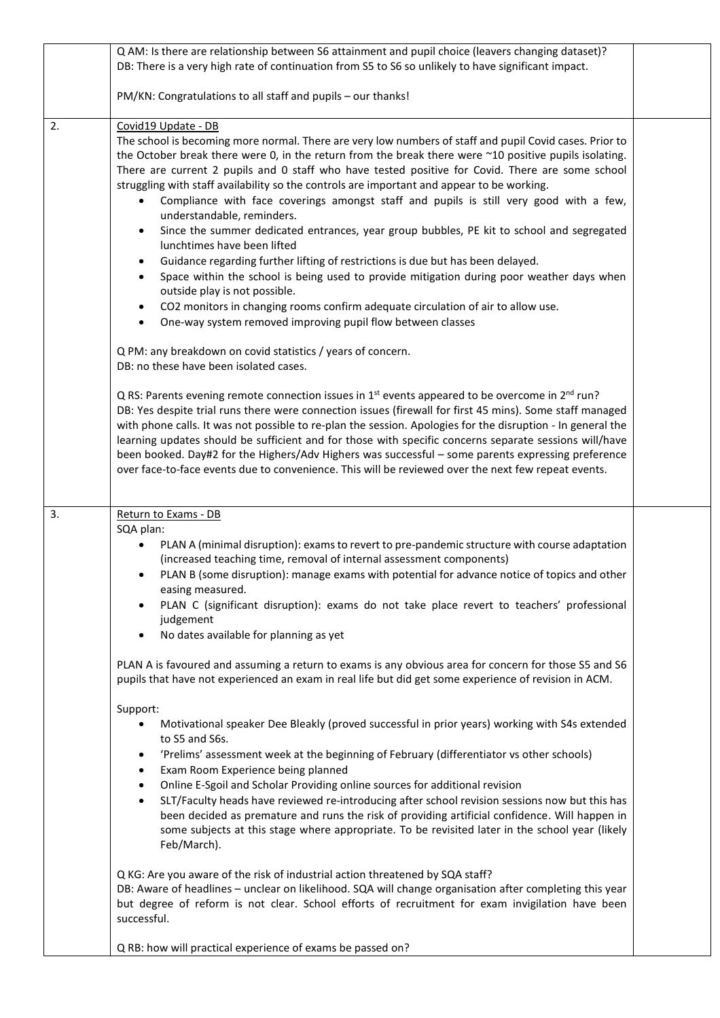| DB: There is a very high rate of continuation from S5 to S6 so unlikely to have significant impact.                                                                                                                                                                                                                                                                                                                                                                                                                                                                                                                                                                                                                                                                                                                                                                                                                                                                                                                                                                                                                                       |  |
|-------------------------------------------------------------------------------------------------------------------------------------------------------------------------------------------------------------------------------------------------------------------------------------------------------------------------------------------------------------------------------------------------------------------------------------------------------------------------------------------------------------------------------------------------------------------------------------------------------------------------------------------------------------------------------------------------------------------------------------------------------------------------------------------------------------------------------------------------------------------------------------------------------------------------------------------------------------------------------------------------------------------------------------------------------------------------------------------------------------------------------------------|--|
| PM/KN: Congratulations to all staff and pupils - our thanks!                                                                                                                                                                                                                                                                                                                                                                                                                                                                                                                                                                                                                                                                                                                                                                                                                                                                                                                                                                                                                                                                              |  |
| 2.<br>Covid19 Update - DB<br>The school is becoming more normal. There are very low numbers of staff and pupil Covid cases. Prior to<br>the October break there were 0, in the return from the break there were ~10 positive pupils isolating.<br>There are current 2 pupils and 0 staff who have tested positive for Covid. There are some school<br>struggling with staff availability so the controls are important and appear to be working.<br>Compliance with face coverings amongst staff and pupils is still very good with a few,<br>understandable, reminders.<br>Since the summer dedicated entrances, year group bubbles, PE kit to school and segregated<br>$\bullet$<br>lunchtimes have been lifted<br>Guidance regarding further lifting of restrictions is due but has been delayed.<br>$\bullet$<br>Space within the school is being used to provide mitigation during poor weather days when<br>$\bullet$<br>outside play is not possible.<br>CO2 monitors in changing rooms confirm adequate circulation of air to allow use.<br>$\bullet$<br>One-way system removed improving pupil flow between classes<br>$\bullet$ |  |
| Q PM: any breakdown on covid statistics / years of concern.<br>DB: no these have been isolated cases.                                                                                                                                                                                                                                                                                                                                                                                                                                                                                                                                                                                                                                                                                                                                                                                                                                                                                                                                                                                                                                     |  |
| Q RS: Parents evening remote connection issues in $1st$ events appeared to be overcome in $2nd$ run?<br>DB: Yes despite trial runs there were connection issues (firewall for first 45 mins). Some staff managed<br>with phone calls. It was not possible to re-plan the session. Apologies for the disruption - In general the<br>learning updates should be sufficient and for those with specific concerns separate sessions will/have<br>been booked. Day#2 for the Highers/Adv Highers was successful - some parents expressing preference<br>over face-to-face events due to convenience. This will be reviewed over the next few repeat events.                                                                                                                                                                                                                                                                                                                                                                                                                                                                                    |  |
| 3.<br>Return to Exams - DB<br>SQA plan:                                                                                                                                                                                                                                                                                                                                                                                                                                                                                                                                                                                                                                                                                                                                                                                                                                                                                                                                                                                                                                                                                                   |  |
| PLAN A (minimal disruption): exams to revert to pre-pandemic structure with course adaptation<br>$\bullet$<br>(increased teaching time, removal of internal assessment components)<br>PLAN B (some disruption): manage exams with potential for advance notice of topics and other<br>easing measured.<br>PLAN C (significant disruption): exams do not take place revert to teachers' professional<br>judgement<br>No dates available for planning as yet                                                                                                                                                                                                                                                                                                                                                                                                                                                                                                                                                                                                                                                                                |  |
| PLAN A is favoured and assuming a return to exams is any obvious area for concern for those S5 and S6<br>pupils that have not experienced an exam in real life but did get some experience of revision in ACM.                                                                                                                                                                                                                                                                                                                                                                                                                                                                                                                                                                                                                                                                                                                                                                                                                                                                                                                            |  |
| Support:<br>Motivational speaker Dee Bleakly (proved successful in prior years) working with S4s extended<br>to S5 and S6s.<br>'Prelims' assessment week at the beginning of February (differentiator vs other schools)<br>٠<br>Exam Room Experience being planned<br>$\bullet$<br>Online E-Sgoil and Scholar Providing online sources for additional revision<br>$\bullet$<br>SLT/Faculty heads have reviewed re-introducing after school revision sessions now but this has<br>been decided as premature and runs the risk of providing artificial confidence. Will happen in<br>some subjects at this stage where appropriate. To be revisited later in the school year (likely<br>Feb/March).                                                                                                                                                                                                                                                                                                                                                                                                                                         |  |
| Q KG: Are you aware of the risk of industrial action threatened by SQA staff?<br>DB: Aware of headlines - unclear on likelihood. SQA will change organisation after completing this year<br>but degree of reform is not clear. School efforts of recruitment for exam invigilation have been<br>successful.                                                                                                                                                                                                                                                                                                                                                                                                                                                                                                                                                                                                                                                                                                                                                                                                                               |  |
| Q RB: how will practical experience of exams be passed on?                                                                                                                                                                                                                                                                                                                                                                                                                                                                                                                                                                                                                                                                                                                                                                                                                                                                                                                                                                                                                                                                                |  |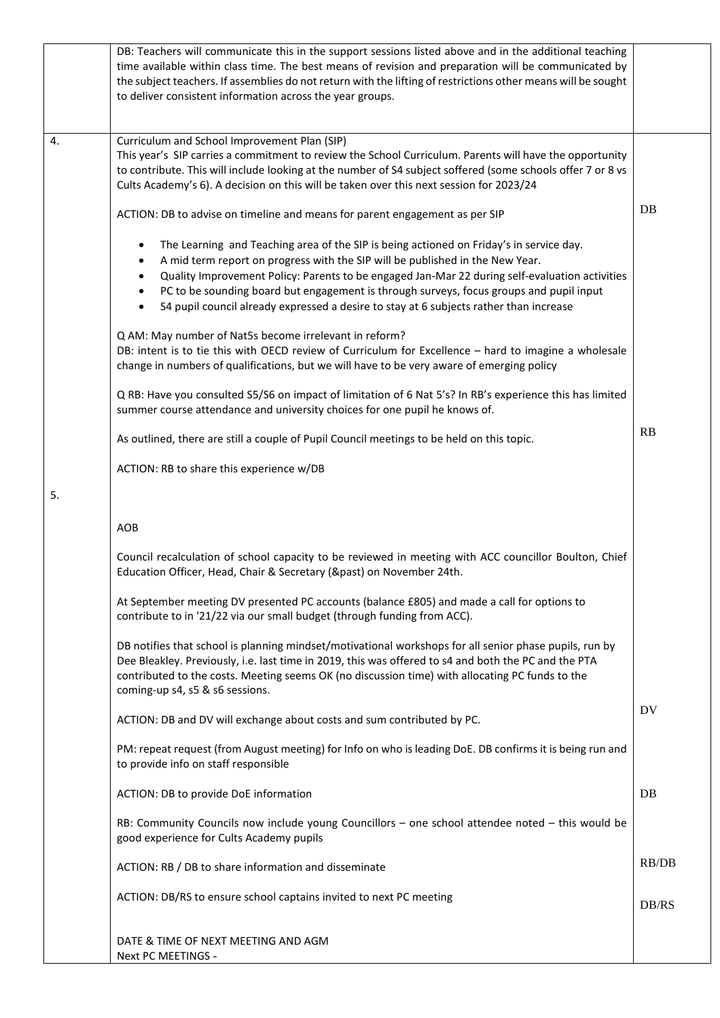|    | DB: Teachers will communicate this in the support sessions listed above and in the additional teaching<br>time available within class time. The best means of revision and preparation will be communicated by<br>the subject teachers. If assemblies do not return with the lifting of restrictions other means will be sought<br>to deliver consistent information across the year groups.                                                                                                                        |       |
|----|---------------------------------------------------------------------------------------------------------------------------------------------------------------------------------------------------------------------------------------------------------------------------------------------------------------------------------------------------------------------------------------------------------------------------------------------------------------------------------------------------------------------|-------|
| 4. | Curriculum and School Improvement Plan (SIP)<br>This year's SIP carries a commitment to review the School Curriculum. Parents will have the opportunity<br>to contribute. This will include looking at the number of S4 subject soffered (some schools offer 7 or 8 vs<br>Cults Academy's 6). A decision on this will be taken over this next session for 2023/24                                                                                                                                                   |       |
|    | ACTION: DB to advise on timeline and means for parent engagement as per SIP                                                                                                                                                                                                                                                                                                                                                                                                                                         | DB    |
|    | The Learning and Teaching area of the SIP is being actioned on Friday's in service day.<br>$\bullet$<br>A mid term report on progress with the SIP will be published in the New Year.<br>$\bullet$<br>Quality Improvement Policy: Parents to be engaged Jan-Mar 22 during self-evaluation activities<br>PC to be sounding board but engagement is through surveys, focus groups and pupil input<br>$\bullet$<br>S4 pupil council already expressed a desire to stay at 6 subjects rather than increase<br>$\bullet$ |       |
|    | Q AM: May number of Nat5s become irrelevant in reform?<br>DB: intent is to tie this with OECD review of Curriculum for Excellence - hard to imagine a wholesale<br>change in numbers of qualifications, but we will have to be very aware of emerging policy                                                                                                                                                                                                                                                        |       |
|    | Q RB: Have you consulted S5/S6 on impact of limitation of 6 Nat 5's? In RB's experience this has limited<br>summer course attendance and university choices for one pupil he knows of.                                                                                                                                                                                                                                                                                                                              |       |
|    | As outlined, there are still a couple of Pupil Council meetings to be held on this topic.                                                                                                                                                                                                                                                                                                                                                                                                                           | RB    |
|    | ACTION: RB to share this experience w/DB                                                                                                                                                                                                                                                                                                                                                                                                                                                                            |       |
| 5. |                                                                                                                                                                                                                                                                                                                                                                                                                                                                                                                     |       |
|    | AOB                                                                                                                                                                                                                                                                                                                                                                                                                                                                                                                 |       |
|    | Council recalculation of school capacity to be reviewed in meeting with ACC councillor Boulton, Chief<br>Education Officer, Head, Chair & Secretary (&past) on November 24th.                                                                                                                                                                                                                                                                                                                                       |       |
|    | At September meeting DV presented PC accounts (balance £805) and made a call for options to<br>contribute to in '21/22 via our small budget (through funding from ACC).                                                                                                                                                                                                                                                                                                                                             |       |
|    | DB notifies that school is planning mindset/motivational workshops for all senior phase pupils, run by<br>Dee Bleakley. Previously, i.e. last time in 2019, this was offered to s4 and both the PC and the PTA<br>contributed to the costs. Meeting seems OK (no discussion time) with allocating PC funds to the<br>coming-up s4, s5 & s6 sessions.                                                                                                                                                                |       |
|    | ACTION: DB and DV will exchange about costs and sum contributed by PC.                                                                                                                                                                                                                                                                                                                                                                                                                                              | DV    |
|    | PM: repeat request (from August meeting) for Info on who is leading DoE. DB confirms it is being run and<br>to provide info on staff responsible                                                                                                                                                                                                                                                                                                                                                                    |       |
|    | ACTION: DB to provide DoE information                                                                                                                                                                                                                                                                                                                                                                                                                                                                               | DB    |
|    | RB: Community Councils now include young Councillors - one school attendee noted - this would be<br>good experience for Cults Academy pupils                                                                                                                                                                                                                                                                                                                                                                        |       |
|    | ACTION: RB / DB to share information and disseminate                                                                                                                                                                                                                                                                                                                                                                                                                                                                | RB/DB |
|    | ACTION: DB/RS to ensure school captains invited to next PC meeting                                                                                                                                                                                                                                                                                                                                                                                                                                                  | DB/RS |
|    | DATE & TIME OF NEXT MEETING AND AGM<br>Next PC MEETINGS -                                                                                                                                                                                                                                                                                                                                                                                                                                                           |       |